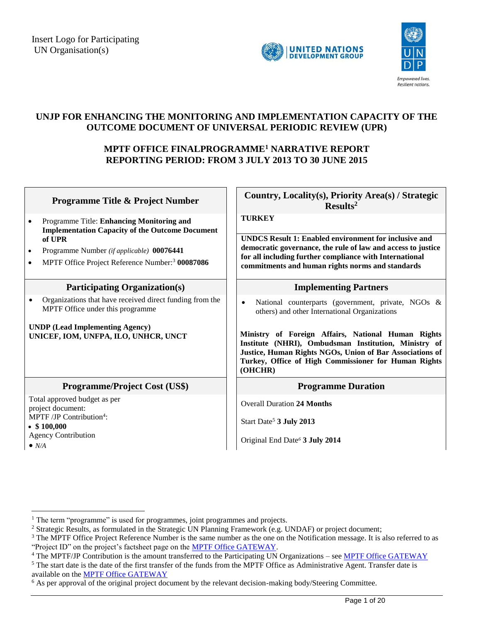



## **UNJP FOR ENHANCING THE MONITORING AND IMPLEMENTATION CAPACITY OF THE OUTCOME DOCUMENT OF UNIVERSAL PERIODIC REVIEW (UPR)**

## **MPTF OFFICE FINALPROGRAMME<sup>1</sup> NARRATIVE REPORT REPORTING PERIOD: FROM 3 JULY 2013 TO 30 JUNE 2015**

| <b>Programme Title &amp; Project Number</b>                                                                                                                                                                                                              | Country, Locality(s), Priority Area(s) / Strategic<br>Results <sup>2</sup>                                                                                                                                                                                                                                                                                    |
|----------------------------------------------------------------------------------------------------------------------------------------------------------------------------------------------------------------------------------------------------------|---------------------------------------------------------------------------------------------------------------------------------------------------------------------------------------------------------------------------------------------------------------------------------------------------------------------------------------------------------------|
| Programme Title: Enhancing Monitoring and<br>٠<br><b>Implementation Capacity of the Outcome Document</b><br>of UPR<br>Programme Number (if applicable) 00076441<br>$\bullet$<br>MPTF Office Project Reference Number: <sup>3</sup> 00087086<br>$\bullet$ | <b>TURKEY</b><br><b>UNDCS Result 1: Enabled environment for inclusive and</b><br>democratic governance, the rule of law and access to justice<br>for all including further compliance with International<br>commitments and human rights norms and standards                                                                                                  |
| <b>Participating Organization(s)</b>                                                                                                                                                                                                                     | <b>Implementing Partners</b>                                                                                                                                                                                                                                                                                                                                  |
| Organizations that have received direct funding from the<br>MPTF Office under this programme<br><b>UNDP</b> (Lead Implementing Agency)<br>UNICEF, IOM, UNFPA, ILO, UNHCR, UNCT                                                                           | National counterparts (government, private, NGOs &<br>$\bullet$<br>others) and other International Organizations<br>Ministry of Foreign Affairs, National Human Rights<br>Institute (NHRI), Ombudsman Institution, Ministry of<br>Justice, Human Rights NGOs, Union of Bar Associations of<br>Turkey, Office of High Commissioner for Human Rights<br>(OHCHR) |
| <b>Programme/Project Cost (US\$)</b>                                                                                                                                                                                                                     | <b>Programme Duration</b>                                                                                                                                                                                                                                                                                                                                     |
| Total approved budget as per<br>project document:<br>$MPTF/JP$ Contribution <sup>4</sup> :<br>$\bullet$ \$100,000<br><b>Agency Contribution</b><br>$\bullet$ N/A                                                                                         | <b>Overall Duration 24 Months</b><br>Start Date <sup>5</sup> 3 July 2013<br>Original End Date <sup>6</sup> 3 July 2014                                                                                                                                                                                                                                        |

 $\overline{a}$ 

<sup>&</sup>lt;sup>1</sup> The term "programme" is used for programmes, joint programmes and projects.

<sup>&</sup>lt;sup>2</sup> Strategic Results, as formulated in the Strategic UN Planning Framework (e.g. UNDAF) or project document;

<sup>&</sup>lt;sup>3</sup> The MPTF Office Project Reference Number is the same number as the one on the Notification message. It is also referred to as "Project ID" on the project's factsheet page on the [MPTF Office GATEWAY.](http://mdtf.undp.org/)

<sup>&</sup>lt;sup>4</sup> The MPTF/JP Contribution is the amount transferred to the Participating UN Organizations – se[e MPTF Office GATEWAY](http://mdtf.undp.org/)

<sup>&</sup>lt;sup>5</sup> The start date is the date of the first transfer of the funds from the MPTF Office as Administrative Agent. Transfer date is available on the [MPTF Office GATEWAY](http://mdtf.undp.org/)

 $6$  As per approval of the original project document by the relevant decision-making body/Steering Committee.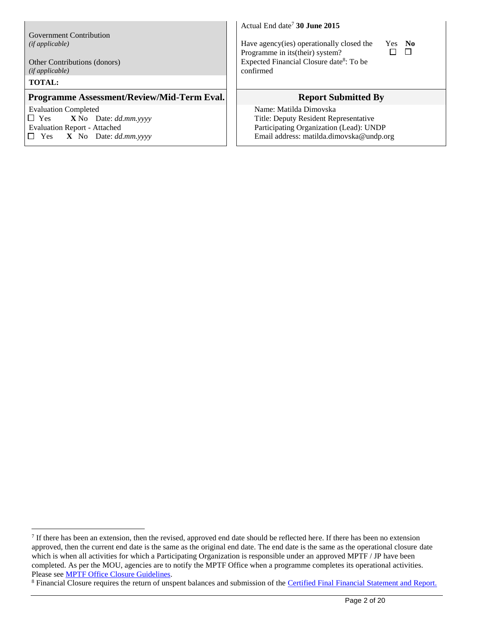Government Contribution *(if applicable)*

Other Contributions (donors) *(if applicable)*

#### **TOTAL:**

 $\overline{a}$ 

#### **Programme Assessment/Review/Mid-Term Eval.** | Report Submitted By

Evaluation Completed Yes **X** No Date: *dd.mm.yyyy* Evaluation Report - Attached Yes **X** No Date: *dd.mm.yyyy* Actual End date<sup>7</sup> 30 June 2015

Have agency(ies) operationally closed the Programme in its(their) system? Expected Financial Closure date<sup>8</sup>: To be confirmed



Name: Matilda Dimovska Title: Deputy Resident Representative Participating Organization (Lead): UNDP Email address: [matilda.dimovska@undp.org](mailto:matilda.dimovska@undp.org)

If there has been an extension, then the revised, approved end date should be reflected here. If there has been no extension approved, then the current end date is the same as the original end date. The end date is the same as the operational closure date which is when all activities for which a Participating Organization is responsible under an approved MPTF / JP have been completed. As per the MOU, agencies are to notify the MPTF Office when a programme completes its operational activities. Please se[e MPTF Office Closure Guidelines.](http://mdtf.undp.org/document/download/5449)

<sup>&</sup>lt;sup>8</sup> Financial Closure requires the return of unspent balances and submission of the [Certified Final Financial Statement and Report.](http://mdtf.undp.org/document/download/5388)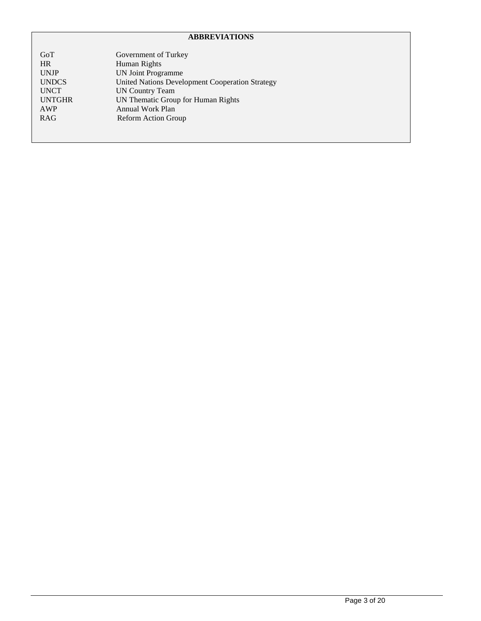## **ABBREVIATIONS**

| GoT           | Government of Turkey                            |
|---------------|-------------------------------------------------|
| <b>HR</b>     | Human Rights                                    |
| <b>UNJP</b>   | <b>UN Joint Programme</b>                       |
| <b>UNDCS</b>  | United Nations Development Cooperation Strategy |
| <b>UNCT</b>   | <b>UN Country Team</b>                          |
| <b>UNTGHR</b> | UN Thematic Group for Human Rights              |
| AWP           | Annual Work Plan                                |
| <b>RAG</b>    | <b>Reform Action Group</b>                      |
|               |                                                 |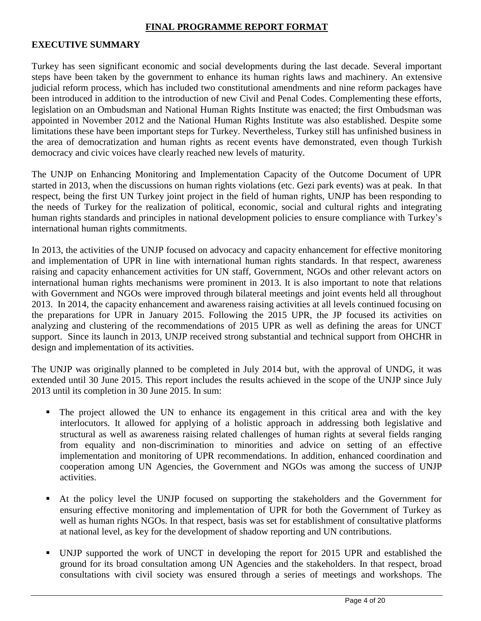## **FINAL PROGRAMME REPORT FORMAT**

#### **EXECUTIVE SUMMARY**

Turkey has seen significant economic and social developments during the last decade. Several important steps have been taken by the government to enhance its human rights laws and machinery. An extensive judicial reform process, which has included two constitutional amendments and nine reform packages have been introduced in addition to the introduction of new Civil and Penal Codes. Complementing these efforts, legislation on an Ombudsman and National Human Rights Institute was enacted; the first Ombudsman was appointed in November 2012 and the National Human Rights Institute was also established. Despite some limitations these have been important steps for Turkey. Nevertheless, Turkey still has unfinished business in the area of democratization and human rights as recent events have demonstrated, even though Turkish democracy and civic voices have clearly reached new levels of maturity.

The UNJP on Enhancing Monitoring and Implementation Capacity of the Outcome Document of UPR started in 2013, when the discussions on human rights violations (etc. Gezi park events) was at peak. In that respect, being the first UN Turkey joint project in the field of human rights, UNJP has been responding to the needs of Turkey for the realization of political, economic, social and cultural rights and integrating human rights standards and principles in national development policies to ensure compliance with Turkey's international human rights commitments.

In 2013, the activities of the UNJP focused on advocacy and capacity enhancement for effective monitoring and implementation of UPR in line with international human rights standards. In that respect, awareness raising and capacity enhancement activities for UN staff, Government, NGOs and other relevant actors on international human rights mechanisms were prominent in 2013. It is also important to note that relations with Government and NGOs were improved through bilateral meetings and joint events held all throughout 2013. In 2014, the capacity enhancement and awareness raising activities at all levels continued focusing on the preparations for UPR in January 2015. Following the 2015 UPR, the JP focused its activities on analyzing and clustering of the recommendations of 2015 UPR as well as defining the areas for UNCT support. Since its launch in 2013, UNJP received strong substantial and technical support from OHCHR in design and implementation of its activities.

The UNJP was originally planned to be completed in July 2014 but, with the approval of UNDG, it was extended until 30 June 2015. This report includes the results achieved in the scope of the UNJP since July 2013 until its completion in 30 June 2015. In sum:

- The project allowed the UN to enhance its engagement in this critical area and with the key interlocutors. It allowed for applying of a holistic approach in addressing both legislative and structural as well as awareness raising related challenges of human rights at several fields ranging from equality and non-discrimination to minorities and advice on setting of an effective implementation and monitoring of UPR recommendations. In addition, enhanced coordination and cooperation among UN Agencies, the Government and NGOs was among the success of UNJP activities.
- At the policy level the UNJP focused on supporting the stakeholders and the Government for ensuring effective monitoring and implementation of UPR for both the Government of Turkey as well as human rights NGOs. In that respect, basis was set for establishment of consultative platforms at national level, as key for the development of shadow reporting and UN contributions.
- UNJP supported the work of UNCT in developing the report for 2015 UPR and established the ground for its broad consultation among UN Agencies and the stakeholders. In that respect, broad consultations with civil society was ensured through a series of meetings and workshops. The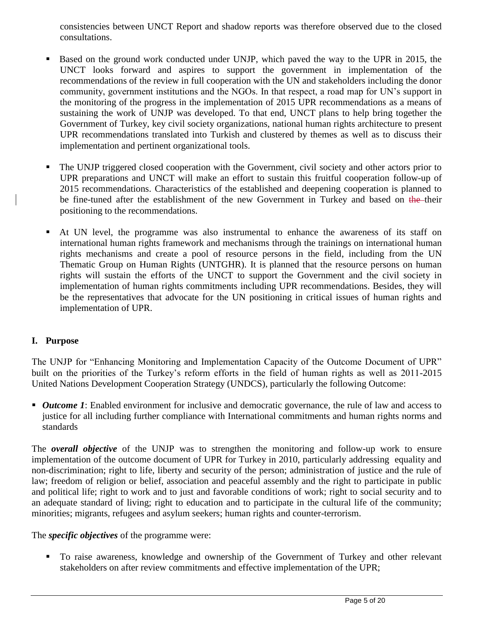consistencies between UNCT Report and shadow reports was therefore observed due to the closed consultations.

- Based on the ground work conducted under UNJP, which paved the way to the UPR in 2015, the UNCT looks forward and aspires to support the government in implementation of the recommendations of the review in full cooperation with the UN and stakeholders including the donor community, government institutions and the NGOs. In that respect, a road map for UN's support in the monitoring of the progress in the implementation of 2015 UPR recommendations as a means of sustaining the work of UNJP was developed. To that end, UNCT plans to help bring together the Government of Turkey, key civil society organizations, national human rights architecture to present UPR recommendations translated into Turkish and clustered by themes as well as to discuss their implementation and pertinent organizational tools.
- The UNJP triggered closed cooperation with the Government, civil society and other actors prior to UPR preparations and UNCT will make an effort to sustain this fruitful cooperation follow-up of 2015 recommendations. Characteristics of the established and deepening cooperation is planned to be fine-tuned after the establishment of the new Government in Turkey and based on the their positioning to the recommendations.
- At UN level, the programme was also instrumental to enhance the awareness of its staff on international human rights framework and mechanisms through the trainings on international human rights mechanisms and create a pool of resource persons in the field, including from the UN Thematic Group on Human Rights (UNTGHR). It is planned that the resource persons on human rights will sustain the efforts of the UNCT to support the Government and the civil society in implementation of human rights commitments including UPR recommendations. Besides, they will be the representatives that advocate for the UN positioning in critical issues of human rights and implementation of UPR.

## **I. Purpose**

The UNJP for "Enhancing Monitoring and Implementation Capacity of the Outcome Document of UPR" built on the priorities of the Turkey's reform efforts in the field of human rights as well as 2011-2015 United Nations Development Cooperation Strategy (UNDCS), particularly the following Outcome:

*Outcome 1*: Enabled environment for inclusive and democratic governance, the rule of law and access to justice for all including further compliance with International commitments and human rights norms and standards

The *overall objective* of the UNJP was to strengthen the monitoring and follow-up work to ensure implementation of the outcome document of UPR for Turkey in 2010, particularly addressing equality and non-discrimination; right to life, liberty and security of the person; administration of justice and the rule of law; freedom of religion or belief, association and peaceful assembly and the right to participate in public and political life; right to work and to just and favorable conditions of work; right to social security and to an adequate standard of living; right to education and to participate in the cultural life of the community; minorities; migrants, refugees and asylum seekers; human rights and counter-terrorism.

## The *specific objectives* of the programme were:

 To raise awareness, knowledge and ownership of the Government of Turkey and other relevant stakeholders on after review commitments and effective implementation of the UPR;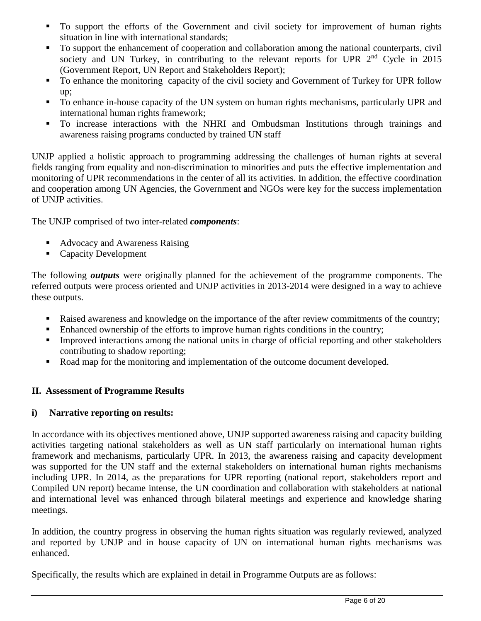- $\blacksquare$  To support the efforts of the Government and civil society for improvement of human rights situation in line with international standards;
- To support the enhancement of cooperation and collaboration among the national counterparts, civil society and UN Turkey, in contributing to the relevant reports for UPR  $2<sup>nd</sup>$  Cycle in 2015 (Government Report, UN Report and Stakeholders Report);
- To enhance the monitoring capacity of the civil society and Government of Turkey for UPR follow up;
- To enhance in-house capacity of the UN system on human rights mechanisms, particularly UPR and international human rights framework;
- To increase interactions with the NHRI and Ombudsman Institutions through trainings and awareness raising programs conducted by trained UN staff

UNJP applied a holistic approach to programming addressing the challenges of human rights at several fields ranging from equality and non-discrimination to minorities and puts the effective implementation and monitoring of UPR recommendations in the center of all its activities. In addition, the effective coordination and cooperation among UN Agencies, the Government and NGOs were key for the success implementation of UNJP activities.

The UNJP comprised of two inter-related *components*:

- Advocacy and Awareness Raising
- Capacity Development

The following *outputs* were originally planned for the achievement of the programme components. The referred outputs were process oriented and UNJP activities in 2013-2014 were designed in a way to achieve these outputs.

- Raised awareness and knowledge on the importance of the after review commitments of the country;
- Enhanced ownership of the efforts to improve human rights conditions in the country;
- **Improved interactions among the national units in charge of official reporting and other stakeholders** contributing to shadow reporting;
- Road map for the monitoring and implementation of the outcome document developed.

## **II. Assessment of Programme Results**

## **i) Narrative reporting on results:**

In accordance with its objectives mentioned above, UNJP supported awareness raising and capacity building activities targeting national stakeholders as well as UN staff particularly on international human rights framework and mechanisms, particularly UPR. In 2013, the awareness raising and capacity development was supported for the UN staff and the external stakeholders on international human rights mechanisms including UPR. In 2014, as the preparations for UPR reporting (national report, stakeholders report and Compiled UN report) became intense, the UN coordination and collaboration with stakeholders at national and international level was enhanced through bilateral meetings and experience and knowledge sharing meetings.

In addition, the country progress in observing the human rights situation was regularly reviewed, analyzed and reported by UNJP and in house capacity of UN on international human rights mechanisms was enhanced.

Specifically, the results which are explained in detail in Programme Outputs are as follows: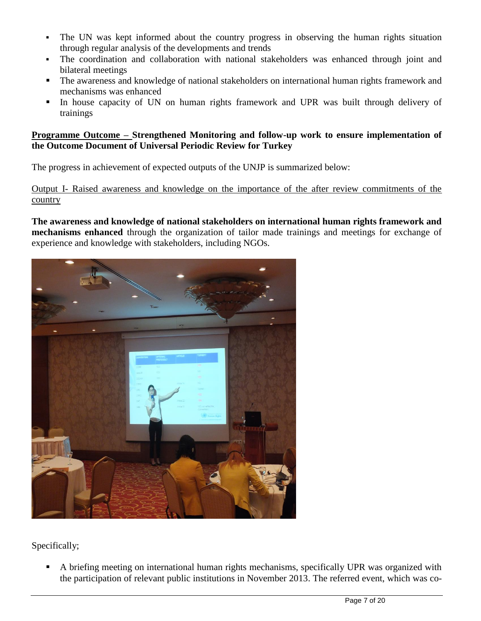- The UN was kept informed about the country progress in observing the human rights situation through regular analysis of the developments and trends
- The coordination and collaboration with national stakeholders was enhanced through joint and bilateral meetings
- The awareness and knowledge of national stakeholders on international human rights framework and mechanisms was enhanced
- In house capacity of UN on human rights framework and UPR was built through delivery of trainings

## **Programme Outcome – Strengthened Monitoring and follow-up work to ensure implementation of the Outcome Document of Universal Periodic Review for Turkey**

The progress in achievement of expected outputs of the UNJP is summarized below:

Output I- Raised awareness and knowledge on the importance of the after review commitments of the country

**The awareness and knowledge of national stakeholders on international human rights framework and mechanisms enhanced** through the organization of tailor made trainings and meetings for exchange of experience and knowledge with stakeholders, including NGOs.



Specifically;

 A briefing meeting on international human rights mechanisms, specifically UPR was organized with the participation of relevant public institutions in November 2013. The referred event, which was co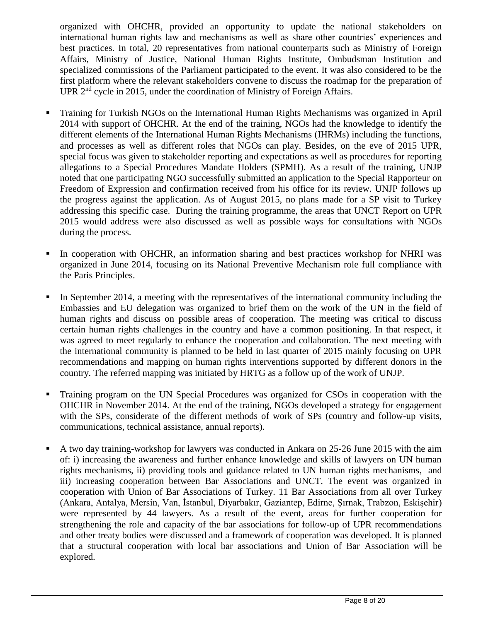organized with OHCHR, provided an opportunity to update the national stakeholders on international human rights law and mechanisms as well as share other countries' experiences and best practices. In total, 20 representatives from national counterparts such as Ministry of Foreign Affairs, Ministry of Justice, National Human Rights Institute, Ombudsman Institution and specialized commissions of the Parliament participated to the event. It was also considered to be the first platform where the relevant stakeholders convene to discuss the roadmap for the preparation of UPR 2<sup>nd</sup> cycle in 2015, under the coordination of Ministry of Foreign Affairs.

- Training for Turkish NGOs on the International Human Rights Mechanisms was organized in April 2014 with support of OHCHR. At the end of the training, NGOs had the knowledge to identify the different elements of the International Human Rights Mechanisms (IHRMs) including the functions, and processes as well as different roles that NGOs can play. Besides, on the eve of 2015 UPR, special focus was given to stakeholder reporting and expectations as well as procedures for reporting allegations to a Special Procedures Mandate Holders (SPMH). As a result of the training, UNJP noted that one participating NGO successfully submitted an application to the Special Rapporteur on Freedom of Expression and confirmation received from his office for its review. UNJP follows up the progress against the application. As of August 2015, no plans made for a SP visit to Turkey addressing this specific case. During the training programme, the areas that UNCT Report on UPR 2015 would address were also discussed as well as possible ways for consultations with NGOs during the process.
- In cooperation with OHCHR, an information sharing and best practices workshop for NHRI was organized in June 2014, focusing on its National Preventive Mechanism role full compliance with the Paris Principles.
- In September 2014, a meeting with the representatives of the international community including the Embassies and EU delegation was organized to brief them on the work of the UN in the field of human rights and discuss on possible areas of cooperation. The meeting was critical to discuss certain human rights challenges in the country and have a common positioning. In that respect, it was agreed to meet regularly to enhance the cooperation and collaboration. The next meeting with the international community is planned to be held in last quarter of 2015 mainly focusing on UPR recommendations and mapping on human rights interventions supported by different donors in the country. The referred mapping was initiated by HRTG as a follow up of the work of UNJP.
- Training program on the UN Special Procedures was organized for CSOs in cooperation with the OHCHR in November 2014. At the end of the training, NGOs developed a strategy for engagement with the SPs, considerate of the different methods of work of SPs (country and follow-up visits, communications, technical assistance, annual reports).
- A two day training-workshop for lawyers was conducted in Ankara on 25-26 June 2015 with the aim of: i) increasing the awareness and further enhance knowledge and skills of lawyers on UN human rights mechanisms, ii) providing tools and guidance related to UN human rights mechanisms, and iii) increasing cooperation between Bar Associations and UNCT. The event was organized in cooperation with Union of Bar Associations of Turkey. 11 Bar Associations from all over Turkey (Ankara, Antalya, Mersin, Van, İstanbul, Diyarbakır, Gaziantep, Edirne, Şırnak, Trabzon, Eskişehir) were represented by 44 lawyers. As a result of the event, areas for further cooperation for strengthening the role and capacity of the bar associations for follow-up of UPR recommendations and other treaty bodies were discussed and a framework of cooperation was developed. It is planned that a structural cooperation with local bar associations and Union of Bar Association will be explored.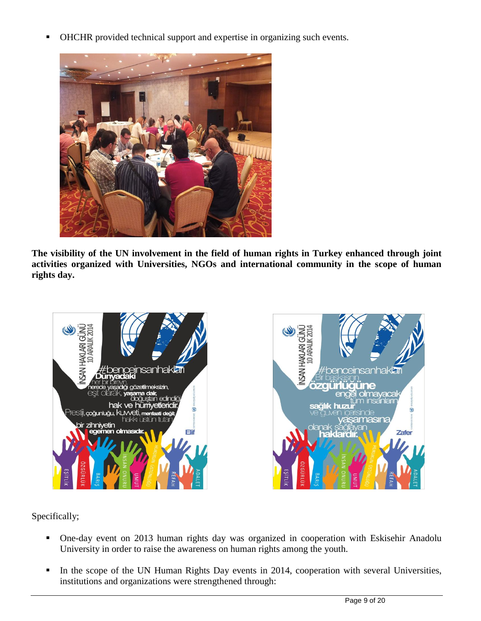OHCHR provided technical support and expertise in organizing such events.



**The visibility of the UN involvement in the field of human rights in Turkey enhanced through joint activities organized with Universities, NGOs and international community in the scope of human rights day.**



Specifically;

- One-day event on 2013 human rights day was organized in cooperation with Eskisehir Anadolu University in order to raise the awareness on human rights among the youth.
- In the scope of the UN Human Rights Day events in 2014, cooperation with several Universities, institutions and organizations were strengthened through: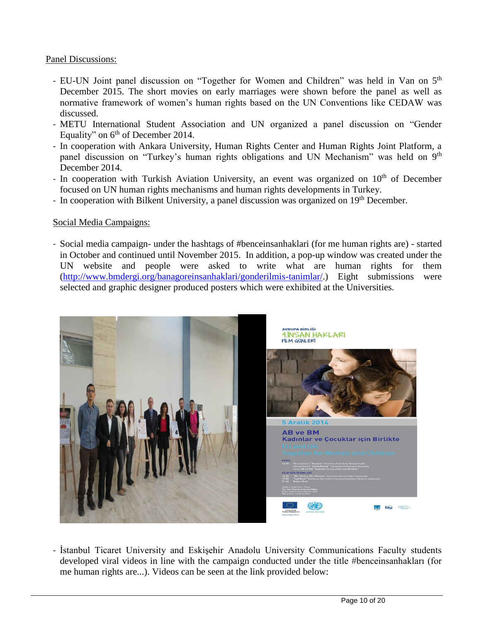## Panel Discussions:

- EU-UN Joint panel discussion on "Together for Women and Children" was held in Van on 5<sup>th</sup> December 2015. The short movies on early marriages were shown before the panel as well as normative framework of women's human rights based on the UN Conventions like CEDAW was discussed.
- METU International Student Association and UN organized a panel discussion on "Gender Equality" on  $6<sup>th</sup>$  of December 2014.
- In cooperation with Ankara University, Human Rights Center and Human Rights Joint Platform, a panel discussion on "Turkey's human rights obligations and UN Mechanism" was held on 9<sup>th</sup> December 2014.
- In cooperation with Turkish Aviation University, an event was organized on  $10<sup>th</sup>$  of December focused on UN human rights mechanisms and human rights developments in Turkey.
- In cooperation with Bilkent University, a panel discussion was organized on  $19<sup>th</sup>$  December.

## Social Media Campaigns:

- Social media campaign- under the hashtags of #benceinsanhaklari (for me human rights are) - started in October and continued until November 2015. In addition, a pop-up window was created under the UN website and people were asked to write what are human rights for them [\(http://www.bmdergi.org/banagoreinsanhaklari/gonderilmis-tanimlar/.](http://www.bmdergi.org/banagoreinsanhaklari/gonderilmis-tanimlar/)) Eight submissions were selected and graphic designer produced posters which were exhibited at the Universities.



- İstanbul Ticaret University and Eskişehir Anadolu University Communications Faculty students developed viral videos in line with the campaign conducted under the title #benceinsanhakları (for me human rights are...). Videos can be seen at the link provided below: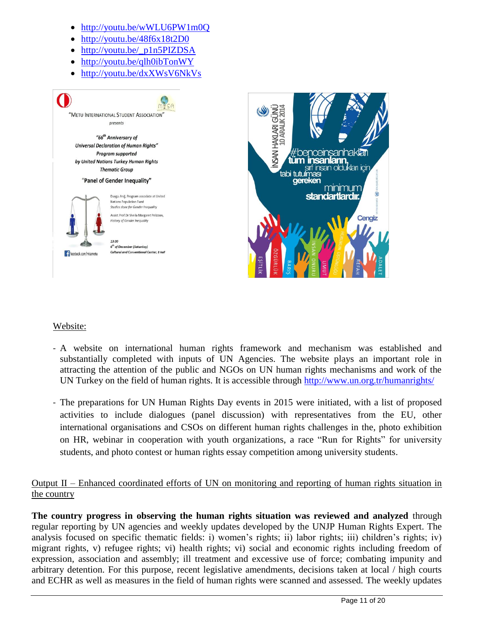- <http://youtu.be/wWLU6PW1m0Q>
- <http://youtu.be/48f6x18t2D0>
- [http://youtu.be/\\_p1n5PIZDSA](http://youtu.be/_p1n5PIZDSA)
- <http://youtu.be/qlh0ibTonWY>
- <http://youtu.be/dxXWsV6NkVs>





## Website:

- A website on international human rights framework and mechanism was established and substantially completed with inputs of UN Agencies. The website plays an important role in attracting the attention of the public and NGOs on UN human rights mechanisms and work of the UN Turkey on the field of human rights. It is accessible through<http://www.un.org.tr/humanrights/>
- The preparations for UN Human Rights Day events in 2015 were initiated, with a list of proposed activities to include dialogues (panel discussion) with representatives from the EU, other international organisations and CSOs on different human rights challenges in the, photo exhibition on HR, webinar in cooperation with youth organizations, a race "Run for Rights" for university students, and photo contest or human rights essay competition among university students.

# Output II – Enhanced coordinated efforts of UN on monitoring and reporting of human rights situation in the country

**The country progress in observing the human rights situation was reviewed and analyzed** through regular reporting by UN agencies and weekly updates developed by the UNJP Human Rights Expert. The analysis focused on specific thematic fields: i) women's rights; ii) labor rights; iii) children's rights; iv) migrant rights, v) refugee rights; vi) health rights; vi) social and economic rights including freedom of expression, association and assembly; ill treatment and excessive use of force; combating impunity and arbitrary detention. For this purpose, recent legislative amendments, decisions taken at local / high courts and ECHR as well as measures in the field of human rights were scanned and assessed. The weekly updates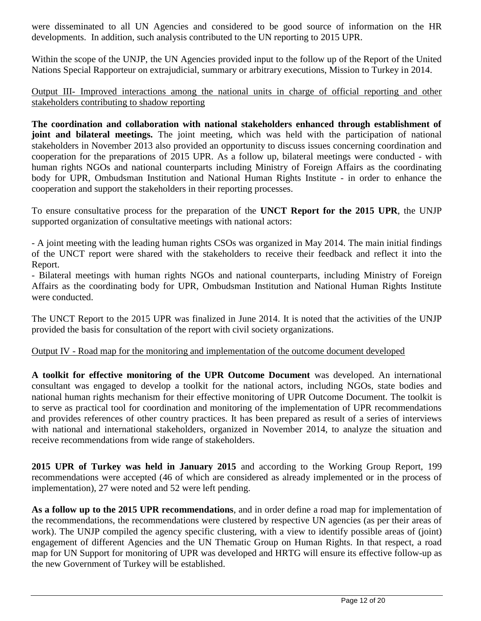were disseminated to all UN Agencies and considered to be good source of information on the HR developments. In addition, such analysis contributed to the UN reporting to 2015 UPR.

Within the scope of the UNJP, the UN Agencies provided input to the follow up of the Report of the United Nations Special Rapporteur on extrajudicial, summary or arbitrary executions, Mission to Turkey in 2014.

## Output III- Improved interactions among the national units in charge of official reporting and other stakeholders contributing to shadow reporting

**The coordination and collaboration with national stakeholders enhanced through establishment of joint and bilateral meetings.** The joint meeting, which was held with the participation of national stakeholders in November 2013 also provided an opportunity to discuss issues concerning coordination and cooperation for the preparations of 2015 UPR. As a follow up, bilateral meetings were conducted - with human rights NGOs and national counterparts including Ministry of Foreign Affairs as the coordinating body for UPR, Ombudsman Institution and National Human Rights Institute - in order to enhance the cooperation and support the stakeholders in their reporting processes.

To ensure consultative process for the preparation of the **UNCT Report for the 2015 UPR**, the UNJP supported organization of consultative meetings with national actors:

- A joint meeting with the leading human rights CSOs was organized in May 2014. The main initial findings of the UNCT report were shared with the stakeholders to receive their feedback and reflect it into the Report.

- Bilateral meetings with human rights NGOs and national counterparts, including Ministry of Foreign Affairs as the coordinating body for UPR, Ombudsman Institution and National Human Rights Institute were conducted.

The UNCT Report to the 2015 UPR was finalized in June 2014. It is noted that the activities of the UNJP provided the basis for consultation of the report with civil society organizations.

## Output IV - Road map for the monitoring and implementation of the outcome document developed

**A toolkit for effective monitoring of the UPR Outcome Document** was developed. An international consultant was engaged to develop a toolkit for the national actors, including NGOs, state bodies and national human rights mechanism for their effective monitoring of UPR Outcome Document. The toolkit is to serve as practical tool for coordination and monitoring of the implementation of UPR recommendations and provides references of other country practices. It has been prepared as result of a series of interviews with national and international stakeholders, organized in November 2014, to analyze the situation and receive recommendations from wide range of stakeholders.

**2015 UPR of Turkey was held in January 2015** and according to the Working Group Report, 199 recommendations were accepted (46 of which are considered as already implemented or in the process of implementation), 27 were noted and 52 were left pending.

**As a follow up to the 2015 UPR recommendations**, and in order define a road map for implementation of the recommendations, the recommendations were clustered by respective UN agencies (as per their areas of work). The UNJP compiled the agency specific clustering, with a view to identify possible areas of (joint) engagement of different Agencies and the UN Thematic Group on Human Rights. In that respect, a road map for UN Support for monitoring of UPR was developed and HRTG will ensure its effective follow-up as the new Government of Turkey will be established.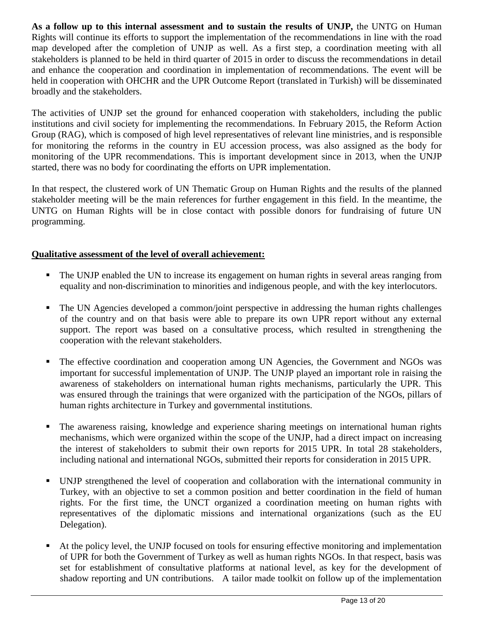**As a follow up to this internal assessment and to sustain the results of UNJP,** the UNTG on Human Rights will continue its efforts to support the implementation of the recommendations in line with the road map developed after the completion of UNJP as well. As a first step, a coordination meeting with all stakeholders is planned to be held in third quarter of 2015 in order to discuss the recommendations in detail and enhance the cooperation and coordination in implementation of recommendations. The event will be held in cooperation with OHCHR and the UPR Outcome Report (translated in Turkish) will be disseminated broadly and the stakeholders.

The activities of UNJP set the ground for enhanced cooperation with stakeholders, including the public institutions and civil society for implementing the recommendations. In February 2015, the Reform Action Group (RAG), which is composed of high level representatives of relevant line ministries, and is responsible for monitoring the reforms in the country in EU accession process, was also assigned as the body for monitoring of the UPR recommendations. This is important development since in 2013, when the UNJP started, there was no body for coordinating the efforts on UPR implementation.

In that respect, the clustered work of UN Thematic Group on Human Rights and the results of the planned stakeholder meeting will be the main references for further engagement in this field. In the meantime, the UNTG on Human Rights will be in close contact with possible donors for fundraising of future UN programming.

## **Qualitative assessment of the level of overall achievement:**

- The UNJP enabled the UN to increase its engagement on human rights in several areas ranging from equality and non-discrimination to minorities and indigenous people, and with the key interlocutors.
- The UN Agencies developed a common/joint perspective in addressing the human rights challenges of the country and on that basis were able to prepare its own UPR report without any external support. The report was based on a consultative process, which resulted in strengthening the cooperation with the relevant stakeholders.
- The effective coordination and cooperation among UN Agencies, the Government and NGOs was important for successful implementation of UNJP. The UNJP played an important role in raising the awareness of stakeholders on international human rights mechanisms, particularly the UPR. This was ensured through the trainings that were organized with the participation of the NGOs, pillars of human rights architecture in Turkey and governmental institutions.
- The awareness raising, knowledge and experience sharing meetings on international human rights mechanisms, which were organized within the scope of the UNJP, had a direct impact on increasing the interest of stakeholders to submit their own reports for 2015 UPR. In total 28 stakeholders, including national and international NGOs, submitted their reports for consideration in 2015 UPR.
- UNJP strengthened the level of cooperation and collaboration with the international community in Turkey, with an objective to set a common position and better coordination in the field of human rights. For the first time, the UNCT organized a coordination meeting on human rights with representatives of the diplomatic missions and international organizations (such as the EU Delegation).
- At the policy level, the UNJP focused on tools for ensuring effective monitoring and implementation of UPR for both the Government of Turkey as well as human rights NGOs. In that respect, basis was set for establishment of consultative platforms at national level, as key for the development of shadow reporting and UN contributions. A tailor made toolkit on follow up of the implementation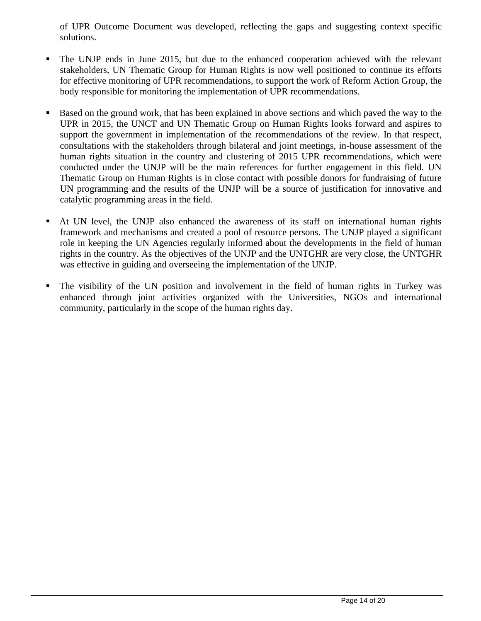of UPR Outcome Document was developed, reflecting the gaps and suggesting context specific solutions.

- The UNJP ends in June 2015, but due to the enhanced cooperation achieved with the relevant stakeholders, UN Thematic Group for Human Rights is now well positioned to continue its efforts for effective monitoring of UPR recommendations, to support the work of Reform Action Group, the body responsible for monitoring the implementation of UPR recommendations.
- Based on the ground work, that has been explained in above sections and which paved the way to the UPR in 2015, the UNCT and UN Thematic Group on Human Rights looks forward and aspires to support the government in implementation of the recommendations of the review. In that respect, consultations with the stakeholders through bilateral and joint meetings, in-house assessment of the human rights situation in the country and clustering of 2015 UPR recommendations, which were conducted under the UNJP will be the main references for further engagement in this field. UN Thematic Group on Human Rights is in close contact with possible donors for fundraising of future UN programming and the results of the UNJP will be a source of justification for innovative and catalytic programming areas in the field.
- At UN level, the UNJP also enhanced the awareness of its staff on international human rights framework and mechanisms and created a pool of resource persons. The UNJP played a significant role in keeping the UN Agencies regularly informed about the developments in the field of human rights in the country. As the objectives of the UNJP and the UNTGHR are very close, the UNTGHR was effective in guiding and overseeing the implementation of the UNJP.
- The visibility of the UN position and involvement in the field of human rights in Turkey was enhanced through joint activities organized with the Universities, NGOs and international community, particularly in the scope of the human rights day.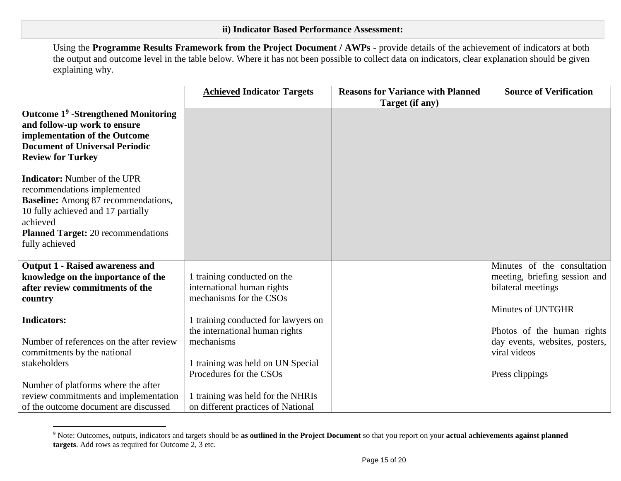Using the **Programme Results Framework from the Project Document / AWPs** - provide details of the achievement of indicators at both the output and outcome level in the table below. Where it has not been possible to collect data on indicators, clear explanation should be given explaining why.

|                                                 | <b>Achieved Indicator Targets</b>   | <b>Reasons for Variance with Planned</b> | <b>Source of Verification</b>  |
|-------------------------------------------------|-------------------------------------|------------------------------------------|--------------------------------|
|                                                 |                                     | Target (if any)                          |                                |
| Outcome 1 <sup>9</sup> -Strengthened Monitoring |                                     |                                          |                                |
| and follow-up work to ensure                    |                                     |                                          |                                |
| implementation of the Outcome                   |                                     |                                          |                                |
| <b>Document of Universal Periodic</b>           |                                     |                                          |                                |
| <b>Review for Turkey</b>                        |                                     |                                          |                                |
| <b>Indicator:</b> Number of the UPR             |                                     |                                          |                                |
| recommendations implemented                     |                                     |                                          |                                |
| <b>Baseline:</b> Among 87 recommendations,      |                                     |                                          |                                |
| 10 fully achieved and 17 partially              |                                     |                                          |                                |
| achieved                                        |                                     |                                          |                                |
| <b>Planned Target:</b> 20 recommendations       |                                     |                                          |                                |
| fully achieved                                  |                                     |                                          |                                |
|                                                 |                                     |                                          |                                |
| <b>Output 1 - Raised awareness and</b>          |                                     |                                          | Minutes of the consultation    |
| knowledge on the importance of the              | 1 training conducted on the         |                                          | meeting, briefing session and  |
| after review commitments of the                 | international human rights          |                                          | bilateral meetings             |
| country                                         | mechanisms for the CSOs             |                                          |                                |
|                                                 |                                     |                                          | Minutes of UNTGHR              |
| <b>Indicators:</b>                              | 1 training conducted for lawyers on |                                          |                                |
|                                                 | the international human rights      |                                          | Photos of the human rights     |
| Number of references on the after review        | mechanisms                          |                                          | day events, websites, posters, |
| commitments by the national                     |                                     |                                          | viral videos                   |
| stakeholders                                    | 1 training was held on UN Special   |                                          |                                |
|                                                 | Procedures for the CSOs             |                                          | Press clippings                |
| Number of platforms where the after             |                                     |                                          |                                |
| review commitments and implementation           | 1 training was held for the NHRIs   |                                          |                                |
| of the outcome document are discussed           | on different practices of National  |                                          |                                |

<sup>9</sup> Note: Outcomes, outputs, indicators and targets should be **as outlined in the Project Document** so that you report on your **actual achievements against planned targets**. Add rows as required for Outcome 2, 3 etc.

 $\overline{a}$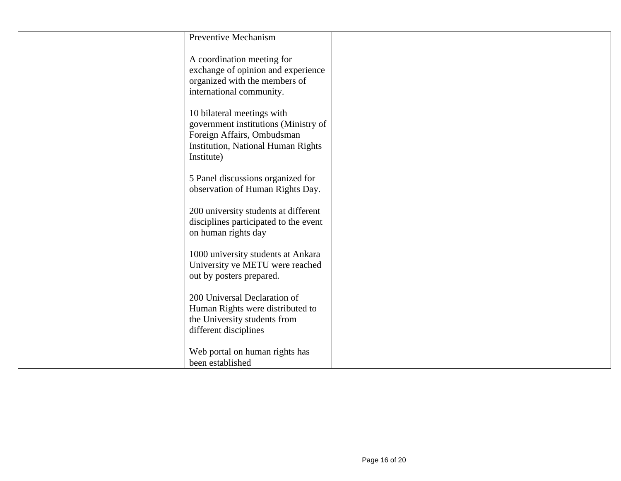| <b>Preventive Mechanism</b>                                                                                                                                 |  |
|-------------------------------------------------------------------------------------------------------------------------------------------------------------|--|
| A coordination meeting for<br>exchange of opinion and experience<br>organized with the members of<br>international community.                               |  |
| 10 bilateral meetings with<br>government institutions (Ministry of<br>Foreign Affairs, Ombudsman<br><b>Institution, National Human Rights</b><br>Institute) |  |
| 5 Panel discussions organized for<br>observation of Human Rights Day.                                                                                       |  |
| 200 university students at different<br>disciplines participated to the event<br>on human rights day                                                        |  |
| 1000 university students at Ankara<br>University ve METU were reached<br>out by posters prepared.                                                           |  |
| 200 Universal Declaration of<br>Human Rights were distributed to<br>the University students from<br>different disciplines                                   |  |
| Web portal on human rights has<br>been established                                                                                                          |  |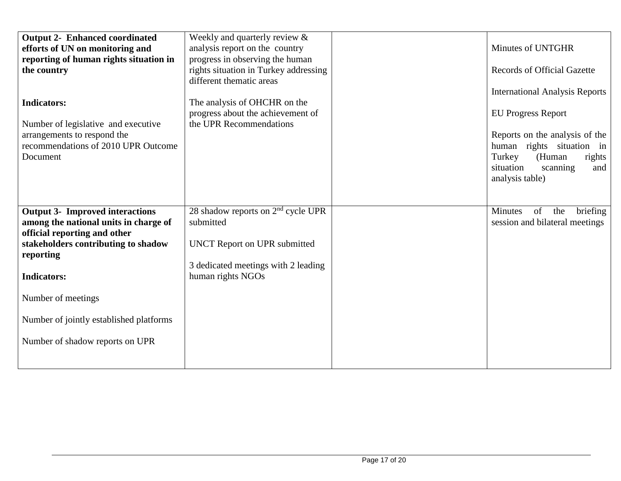| <b>Output 2- Enhanced coordinated</b><br>efforts of UN on monitoring and<br>reporting of human rights situation in<br>the country<br><b>Indicators:</b><br>Number of legislative and executive<br>arrangements to respond the<br>recommendations of 2010 UPR Outcome<br>Document | Weekly and quarterly review &<br>analysis report on the country<br>progress in observing the human<br>rights situation in Turkey addressing<br>different thematic areas<br>The analysis of OHCHR on the<br>progress about the achievement of<br>the UPR Recommendations | Minutes of UNTGHR<br><b>Records of Official Gazette</b><br><b>International Analysis Reports</b><br><b>EU Progress Report</b><br>Reports on the analysis of the<br>human rights situation in<br>Turkey<br>(Human<br>rights<br>situation<br>scanning<br>and<br>analysis table) |
|----------------------------------------------------------------------------------------------------------------------------------------------------------------------------------------------------------------------------------------------------------------------------------|-------------------------------------------------------------------------------------------------------------------------------------------------------------------------------------------------------------------------------------------------------------------------|-------------------------------------------------------------------------------------------------------------------------------------------------------------------------------------------------------------------------------------------------------------------------------|
| <b>Output 3- Improved interactions</b><br>among the national units in charge of<br>official reporting and other<br>stakeholders contributing to shadow<br>reporting<br><b>Indicators:</b><br>Number of meetings                                                                  | 28 shadow reports on $2nd$ cycle UPR<br>submitted<br><b>UNCT Report on UPR submitted</b><br>3 dedicated meetings with 2 leading<br>human rights NGOs                                                                                                                    | of<br>briefing<br>Minutes<br>the<br>session and bilateral meetings                                                                                                                                                                                                            |
| Number of jointly established platforms<br>Number of shadow reports on UPR                                                                                                                                                                                                       |                                                                                                                                                                                                                                                                         |                                                                                                                                                                                                                                                                               |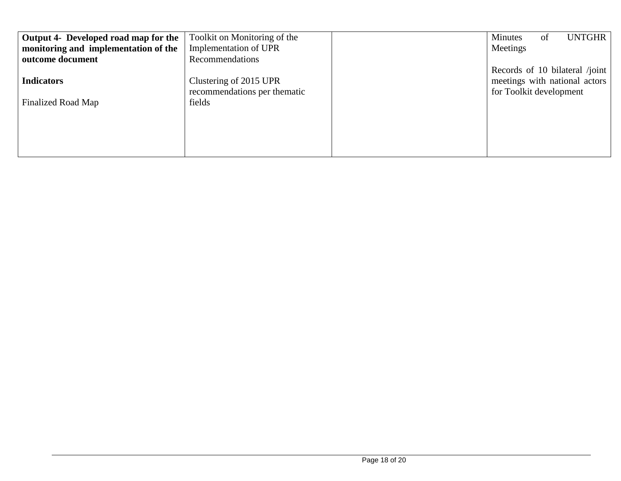| Toolkit on Monitoring of the | UNTGHR<br>Minutes<br>of        |
|------------------------------|--------------------------------|
| Implementation of UPR        | Meetings                       |
| Recommendations              |                                |
|                              | Records of 10 bilateral /joint |
| Clustering of 2015 UPR       | meetings with national actors  |
| recommendations per thematic | for Toolkit development        |
| fields                       |                                |
|                              |                                |
|                              |                                |
|                              |                                |
|                              |                                |
|                              |                                |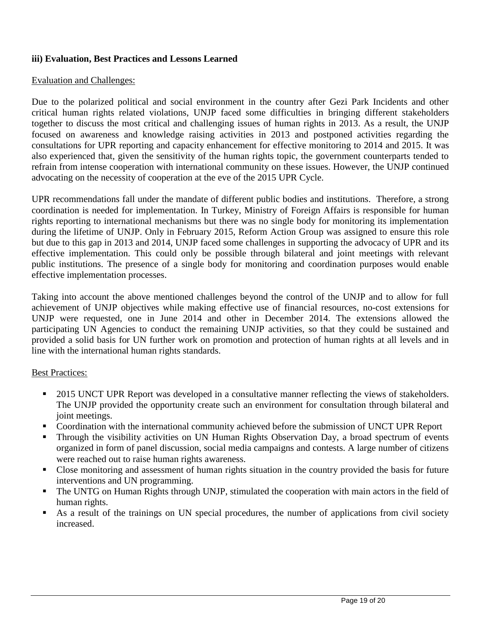## **iii) Evaluation, Best Practices and Lessons Learned**

#### Evaluation and Challenges:

Due to the polarized political and social environment in the country after Gezi Park Incidents and other critical human rights related violations, UNJP faced some difficulties in bringing different stakeholders together to discuss the most critical and challenging issues of human rights in 2013. As a result, the UNJP focused on awareness and knowledge raising activities in 2013 and postponed activities regarding the consultations for UPR reporting and capacity enhancement for effective monitoring to 2014 and 2015. It was also experienced that, given the sensitivity of the human rights topic, the government counterparts tended to refrain from intense cooperation with international community on these issues. However, the UNJP continued advocating on the necessity of cooperation at the eve of the 2015 UPR Cycle.

UPR recommendations fall under the mandate of different public bodies and institutions. Therefore, a strong coordination is needed for implementation. In Turkey, Ministry of Foreign Affairs is responsible for human rights reporting to international mechanisms but there was no single body for monitoring its implementation during the lifetime of UNJP. Only in February 2015, Reform Action Group was assigned to ensure this role but due to this gap in 2013 and 2014, UNJP faced some challenges in supporting the advocacy of UPR and its effective implementation. This could only be possible through bilateral and joint meetings with relevant public institutions. The presence of a single body for monitoring and coordination purposes would enable effective implementation processes.

Taking into account the above mentioned challenges beyond the control of the UNJP and to allow for full achievement of UNJP objectives while making effective use of financial resources, no-cost extensions for UNJP were requested, one in June 2014 and other in December 2014. The extensions allowed the participating UN Agencies to conduct the remaining UNJP activities, so that they could be sustained and provided a solid basis for UN further work on promotion and protection of human rights at all levels and in line with the international human rights standards.

## Best Practices:

- 2015 UNCT UPR Report was developed in a consultative manner reflecting the views of stakeholders. The UNJP provided the opportunity create such an environment for consultation through bilateral and joint meetings.
- Coordination with the international community achieved before the submission of UNCT UPR Report
- Through the visibility activities on UN Human Rights Observation Day, a broad spectrum of events organized in form of panel discussion, social media campaigns and contests. A large number of citizens were reached out to raise human rights awareness.
- Close monitoring and assessment of human rights situation in the country provided the basis for future interventions and UN programming.
- The UNTG on Human Rights through UNJP, stimulated the cooperation with main actors in the field of human rights.
- As a result of the trainings on UN special procedures, the number of applications from civil society increased.